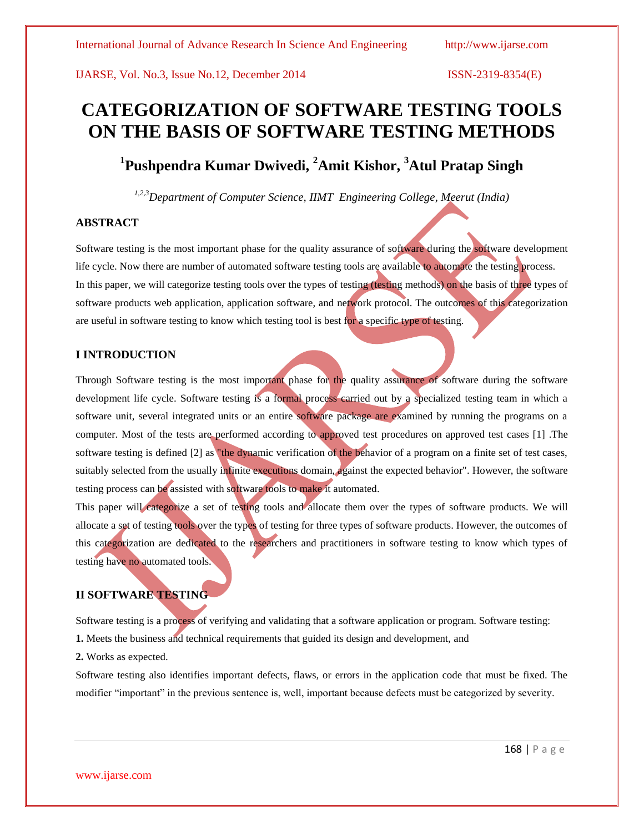# **CATEGORIZATION OF SOFTWARE TESTING TOOLS ON THE BASIS OF SOFTWARE TESTING METHODS**

**1 Pushpendra Kumar Dwivedi, <sup>2</sup>Amit Kishor, <sup>3</sup>Atul Pratap Singh**

*1,2,3Department of Computer Science, IIMT Engineering College, Meerut (India)*

### **ABSTRACT**

Software testing is the most important phase for the quality assurance of software during the software development life cycle. Now there are number of automated software testing tools are available to automate the testing process. In this paper, we will categorize testing tools over the types of testing (testing methods) on the basis of three types of software products web application, application software, and network protocol. The outcomes of this categorization are useful in software testing to know which testing tool is best for a specific type of testing.

# **I INTRODUCTION**

Through Software testing is the most important phase for the quality assurance of software during the software development life cycle. Software testing is a formal process carried out by a specialized testing team in which a software unit, several integrated units or an entire software package are examined by running the programs on a computer. Most of the tests are performed according to approved test procedures on approved test cases [1] .The software testing is defined [2] as "the dynamic verification of the behavior of a program on a finite set of test cases, suitably selected from the usually infinite executions domain, against the expected behavior". However, the software testing process can be assisted with software tools to make it automated.

This paper will categorize a set of testing tools and allocate them over the types of software products. We will allocate a set of testing tools over the types of testing for three types of software products. However, the outcomes of this categorization are dedicated to the researchers and practitioners in software testing to know which types of testing have no automated tools.

# **II SOFTWARE TESTING**

Software testing is a process of verifying and validating that a software application or program. Software testing: **1.** Meets the business and technical requirements that guided its design and development, and

**2.** Works as expected.

Software testing also identifies important defects, flaws, or errors in the application code that must be fixed. The modifier "important" in the previous sentence is, well, important because defects must be categorized by severity.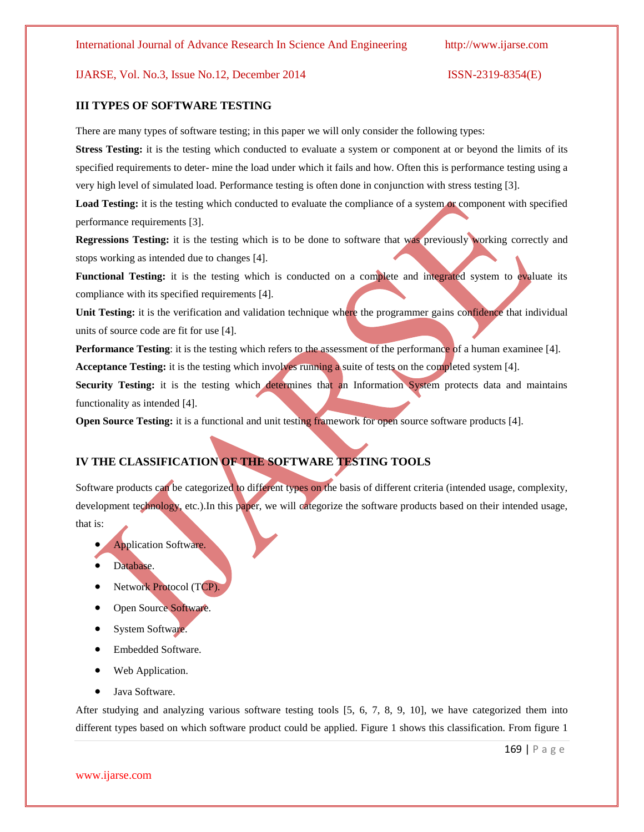### **III TYPES OF SOFTWARE TESTING**

There are many types of software testing; in this paper we will only consider the following types:

**Stress Testing:** it is the testing which conducted to evaluate a system or component at or beyond the limits of its specified requirements to deter- mine the load under which it fails and how. Often this is performance testing using a very high level of simulated load. Performance testing is often done in conjunction with stress testing [3].

Load Testing: it is the testing which conducted to evaluate the compliance of a system or component with specified performance requirements [3].

**Regressions Testing:** it is the testing which is to be done to software that was previously working correctly and stops working as intended due to changes [4].

**Functional Testing:** it is the testing which is conducted on a complete and integrated system to evaluate its compliance with its specified requirements [4].

**Unit Testing:** it is the verification and validation technique where the programmer gains confidence that individual units of source code are fit for use [4].

**Performance Testing**: it is the testing which refers to the assessment of the performance of a human examinee [4].

**Acceptance Testing:** it is the testing which involves running a suite of tests on the completed system [4].

**Security Testing:** it is the testing which determines that an Information System protects data and maintains functionality as intended [4].

**Open Source Testing:** it is a functional and unit testing framework for open source software products [4].

# **IV THE CLASSIFICATION OF THE SOFTWARE TESTING TOOLS**

Software products can be categorized to different types on the basis of different criteria (intended usage, complexity, development technology, etc.).In this paper, we will categorize the software products based on their intended usage, that is:

- Application Software.
- Database.
- Network Protocol (TCP).
- Open Source Software.
- System Software.
- Embedded Software.
- Web Application.
- Java Software.

After studying and analyzing various software testing tools [5, 6, 7, 8, 9, 10], we have categorized them into different types based on which software product could be applied. Figure 1 shows this classification. From figure 1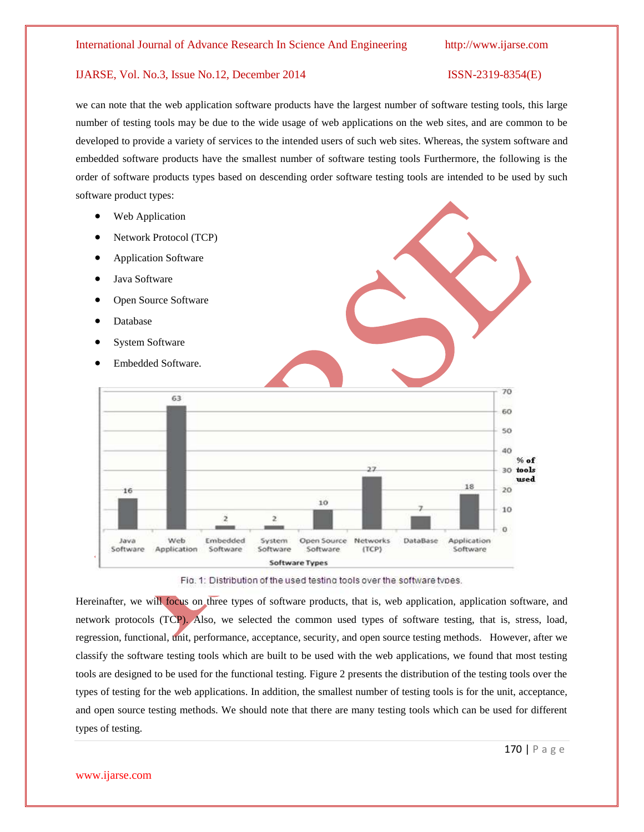we can note that the web application software products have the largest number of software testing tools, this large number of testing tools may be due to the wide usage of web applications on the web sites, and are common to be developed to provide a variety of services to the intended users of such web sites. Whereas, the system software and embedded software products have the smallest number of software testing tools Furthermore, the following is the order of software products types based on descending order software testing tools are intended to be used by such software product types:

- Web Application
- Network Protocol (TCP)
- Application Software
- Java Software
- Open Source Software
- Database
- System Software
- Embedded Software.



Fig. 1: Distribution of the used testing tools over the software types.

Hereinafter, we will focus on three types of software products, that is, web application, application software, and network protocols (TCP). Also, we selected the common used types of software testing, that is, stress, load, regression, functional, unit, performance, acceptance, security, and open source testing methods. However, after we classify the software testing tools which are built to be used with the web applications, we found that most testing tools are designed to be used for the functional testing. Figure 2 presents the distribution of the testing tools over the types of testing for the web applications. In addition, the smallest number of testing tools is for the unit, acceptance, and open source testing methods. We should note that there are many testing tools which can be used for different types of testing.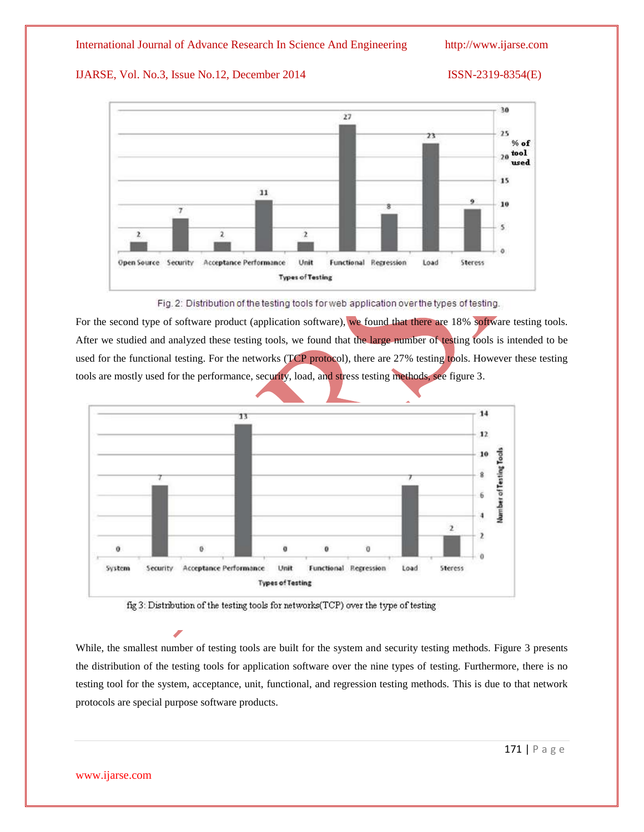



Fig. 2: Distribution of the testing tools for web application over the types of testing.

For the second type of software product (application software), we found that there are 18% software testing tools. After we studied and analyzed these testing tools, we found that the large number of testing tools is intended to be used for the functional testing. For the networks (TCP protocol), there are 27% testing tools. However these testing tools are mostly used for the performance, security, load, and stress testing methods, see figure 3.



fig 3: Distribution of the testing tools for networks(TCP) over the type of testing

While, the smallest number of testing tools are built for the system and security testing methods. Figure 3 presents the distribution of the testing tools for application software over the nine types of testing. Furthermore, there is no testing tool for the system, acceptance, unit, functional, and regression testing methods. This is due to that network protocols are special purpose software products.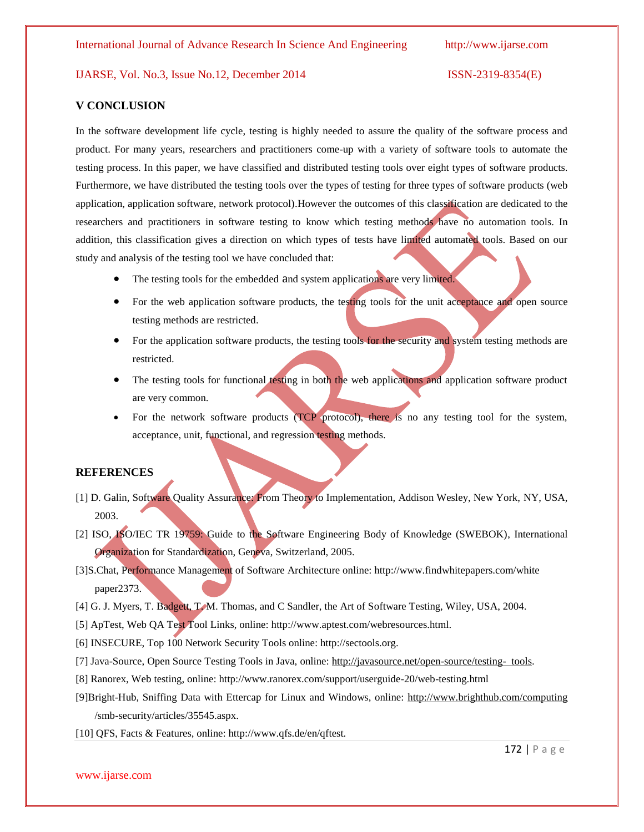### **V CONCLUSION**

In the software development life cycle, testing is highly needed to assure the quality of the software process and product. For many years, researchers and practitioners come-up with a variety of software tools to automate the testing process. In this paper, we have classified and distributed testing tools over eight types of software products. Furthermore, we have distributed the testing tools over the types of testing for three types of software products (web application, application software, network protocol).However the outcomes of this classification are dedicated to the researchers and practitioners in software testing to know which testing methods have no automation tools. In addition, this classification gives a direction on which types of tests have limited automated tools. Based on our study and analysis of the testing tool we have concluded that:

- The testing tools for the embedded and system applications are very limited.
- For the web application software products, the testing tools for the unit acceptance and open source testing methods are restricted.
- For the application software products, the testing tools for the security and system testing methods are restricted.
- The testing tools for functional testing in both the web applications and application software product are very common.
- For the network software products (TCP protocol), there is no any testing tool for the system, acceptance, unit, functional, and regression testing methods.

### **REFERENCES**

- [1] D. Galin, Software Quality Assurance: From Theory to Implementation, Addison Wesley, New York, NY, USA, 2003.
- [2] ISO, ISO/IEC TR 19759: Guide to the Software Engineering Body of Knowledge (SWEBOK), International Organization for Standardization, Geneva, Switzerland, 2005.
- [3]S.Chat, Performance Management of Software Architecture online: http://www.findwhitepapers.com/white paper2373.
- [4] G. J. Myers, T. Badgett, T. M. Thomas, and C Sandler, the Art of Software Testing, Wiley, USA, 2004.
- [5] ApTest, Web QA Test Tool Links, online: http://www.aptest.com/webresources.html.
- [6] INSECURE, Top 100 Network Security Tools online: http://sectools.org.
- [7] Java-Source, Open Source Testing Tools in Java, online[: http://javasource.net/open-source/testing- tools.](http://javasource.net/open-source/testing-%20%20tools)
- [8] Ranorex, Web testing, online: http://www.ranorex.com/support/userguide-20/web-testing.html
- [9]Bright-Hub, Sniffing Data with Ettercap for Linux and Windows, online:<http://www.brighthub.com/computing> /smb-security/articles/35545.aspx.
- [10] QFS, Facts & Features, online: http://www.qfs.de/en/qftest.